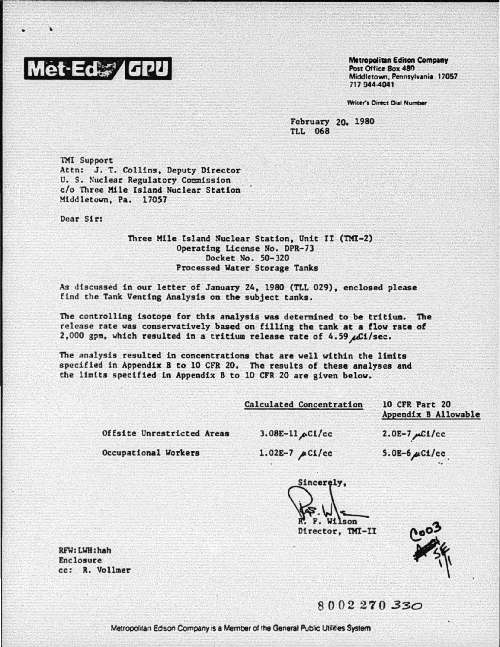## let-Ed. / GPU

**Metropolitan Edison Company** Post Office Rox 480 Middletown, Pennsylvania 17057 717 944 4041

Writer's Direct Dial Number

February 20, 1980 **TLL 068** 

**TMI Support** Attn: J. T. Collins, Deputy Director U. S. Nuclear Regulatory Commission c/o Three Mile Island Nuclear Station Middletown, Pa. 17057

Dear Sir:

## Three Mile Island Nuclear Station, Unit II (TMI-2) Operating License No. DPR-73 Docket No. 50-320 Processed Water Storage Tanks

As discussed in our letter of January 24, 1980 (TLL 029), enclosed please find the Tank Venting Analysis on the subject tanks.

The controlling isotope for this analysis was determined to be tritium. The release rate was conservatively based on filling the tank at a flow rate of 2,000 gpm, which resulted in a tritium release rate of 4.59 ACi/sec.

The analysis resulted in concentrations that are well within the limits specified in Appendix B to 10 CFR 20. The results of these analyses and the limits specified in Appendix B to 10 CFR 20 are given below.

10 CFR Part 20 Appendix B Allowable

Offsite Unrestricted Areas

 $3.08E-11 \mu C1/cc$ 

Occupational Workers

 $1.02E-7 \mu C1/cc$ 

 $2.0E-7 \mu C1/cc$  $5.0E-6 \mu C1/cc$ 

Sincerely, Wilson Director, TMI-II

RFW: LWH: hah Enclosure cc: R. Vollmer

8002270330

Metropolitan Edison Company is a Member of the General Public Utilities System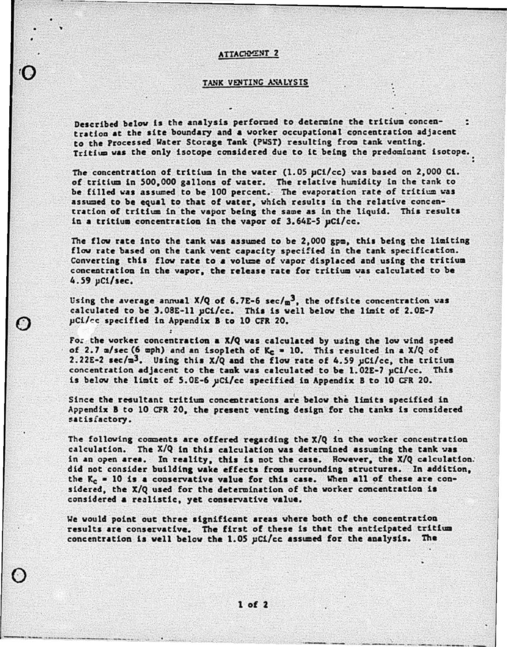## **ATTACHMENT 2**

## TANK VENTING ANALYSIS

Described below is the analysis performed to determine the tritium concentration at the site boundary and a worker occupational concentration adjacent to the Processed Water Storage Tank (PWST) resulting from tank venting. Tritium was the only isotope considered due to it being the predominant isotope.

The concentration of tritium in the water (1.05  $\mu$ Ci/cc) was based on 2,000 Ci. of tritium in 500,000 gallons of water. The relative humidity in the tank to be filled was assumed to be 100 percent. The evaporation rate of tritium was assumed to be equal to that of water, which results in the relative concentration of tritium in the vapor being the same as in the liquid. This results in a tritium concentration in the vapor of 3.64E-5 µCi/cc.

The flow rate into the tank was assumed to be 2,000 gpm, this being the limiting flow rate based on the tank vent capacity specified in the tank specification. Converting this flow rate to a volume of vapor displaced and using the tritium concentration in the vapor, the release rate for tritium was calculated to be 4.59 µCi/sec.

Using the average annual X/Q of 6.7E-6  $sec/\omega^3$ , the offsite concentration was calculated to be 3.08E-11 pCi/cc. This is well below the limit of 2.0E-7 µCi/cc specified in Appendix B to 10 CFR 20.

For the worker concentration a  $X/Q$  was calculated by using the low wind speed of 2.7 m/sec (6 mph) and an isopleth of  $K_c = 10$ . This resulted in a X/Q of 2.22E-2 sec/m<sup>3</sup>. Using this X/Q and the flow rate of 4.59 uCi/cc, the tritium concentration adjacent to the tank was calculated to be 1.02E-7 µCi/cc. This is below the limit of 5.0E-6 µCi/cc specified in Appendix B to 10 CFR 20.

Since the resultant tritium concentrations are below the limits specified in Appendix B to 10 CFR 20, the present venting design for the tanks is considered satisfactory.

The following comments are offered regarding the X/Q in the worker concentration calculation. The X/Q in this calculation was determined assuming the tank was in an open area. In reality, this is not the case. However, the X/Q calculation. did not consider building wake effects from surrounding structures. In addition, the  $K_c = 10$  is a conservative value for this case. When all of these are considered, the X/Q used for the determination of the worker concentration is considered a realistic, yet conservative value.

We would point out three significant areas where both of the concentration results are conservative. The first of these is that the anticipated tritium concentration is well below the 1.05 pCi/cc assumed for the analysis. The